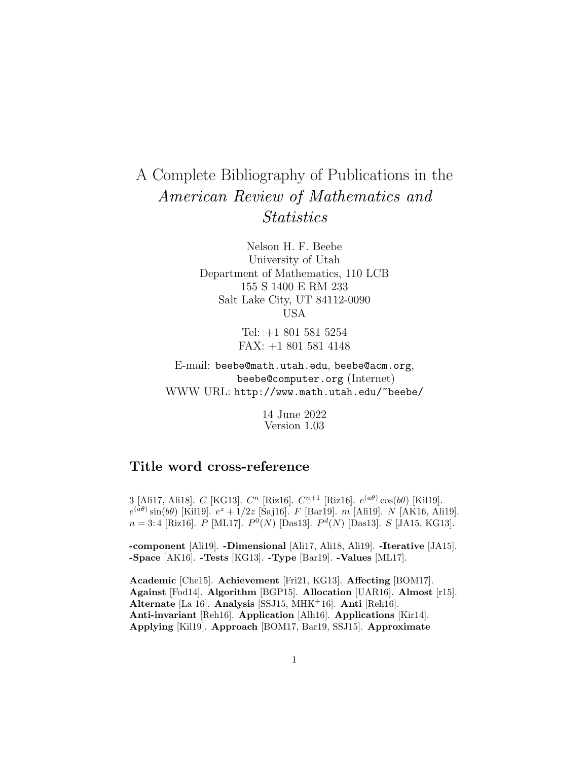# A Complete Bibliography of Publications in the American Review of Mathematics and **Statistics**

Nelson H. F. Beebe University of Utah Department of Mathematics, 110 LCB 155 S 1400 E RM 233 Salt Lake City, UT 84112-0090 USA

> Tel: +1 801 581 5254 FAX: +1 801 581 4148

E-mail: beebe@math.utah.edu, beebe@acm.org, beebe@computer.org (Internet) WWW URL: http://www.math.utah.edu/~beebe/

> 14 June 2022 Version 1.03

# **Title word cross-reference**

3 [Ali17, Ali18]. C [KG13].  $C^n$  [Riz16].  $C^{n+1}$  [Riz16].  $e^{(a\theta)}\cos(b\theta)$  [Kil19].  $e^{(a\theta)}\sin(b\theta)$  [Kil19].  $e^z + 1/2z$  [Saj16]. F [Bar19]. m [Ali19]. N [AK16, Ali19].  $n = 3:4$  [Riz16]. P [ML17].  $P^{0}(N)$  [Das13].  $P^{d}(N)$  [Das13]. S [JA15, KG13].

**-component** [Ali19]. **-Dimensional** [Ali17, Ali18, Ali19]. **-Iterative** [JA15]. **-Space** [AK16]. **-Tests** [KG13]. **-Type** [Bar19]. **-Values** [ML17].

**Academic** [Che15]. **Achievement** [Fri21, KG13]. **Affecting** [BOM17]. **Against** [Fod14]. **Algorithm** [BGP15]. **Allocation** [UAR16]. **Almost** [r15]. **Alternate** [La 16]. **Analysis** [SSJ15, MHK<sup>+</sup>16]. **Anti** [Reh16]. **Anti-invariant** [Reh16]. **Application** [Alh16]. **Applications** [Kir14]. **Applying** [Kil19]. **Approach** [BOM17, Bar19, SSJ15]. **Approximate**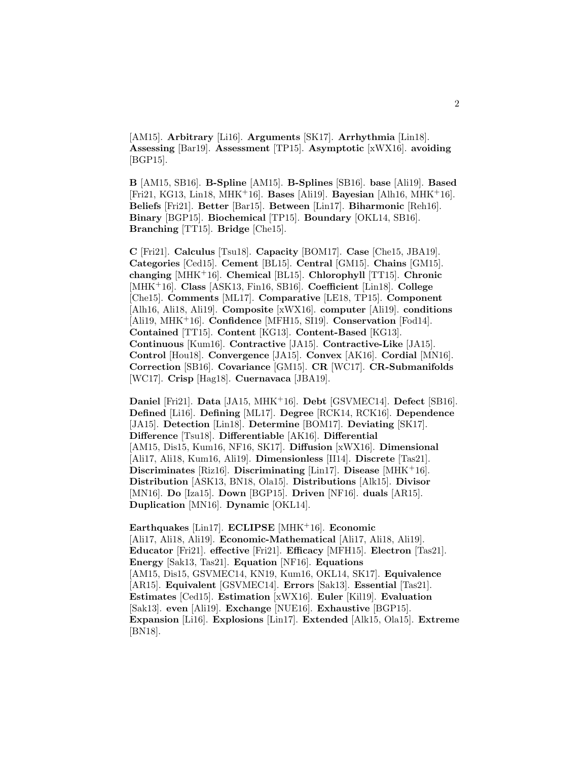[AM15]. **Arbitrary** [Li16]. **Arguments** [SK17]. **Arrhythmia** [Lin18]. **Assessing** [Bar19]. **Assessment** [TP15]. **Asymptotic** [xWX16]. **avoiding** [BGP15].

**B** [AM15, SB16]. **B-Spline** [AM15]. **B-Splines** [SB16]. **base** [Ali19]. **Based** [Fri21, KG13, Lin18, MHK<sup>+</sup>16]. **Bases** [Ali19]. **Bayesian** [Alh16, MHK<sup>+</sup>16]. **Beliefs** [Fri21]. **Better** [Bar15]. **Between** [Lin17]. **Biharmonic** [Reh16]. **Binary** [BGP15]. **Biochemical** [TP15]. **Boundary** [OKL14, SB16]. **Branching** [TT15]. **Bridge** [Che15].

**C** [Fri21]. **Calculus** [Tsu18]. **Capacity** [BOM17]. **Case** [Che15, JBA19]. **Categories** [Ced15]. **Cement** [BL15]. **Central** [GM15]. **Chains** [GM15]. **changing** [MHK<sup>+</sup>16]. **Chemical** [BL15]. **Chlorophyll** [TT15]. **Chronic** [MHK<sup>+</sup>16]. **Class** [ASK13, Fin16, SB16]. **Coefficient** [Lin18]. **College** [Che15]. **Comments** [ML17]. **Comparative** [LE18, TP15]. **Component** [Alh16, Ali18, Ali19]. **Composite** [xWX16]. **computer** [Ali19]. **conditions** [Ali19, MHK<sup>+</sup>16]. **Confidence** [MFH15, SI19]. **Conservation** [Fod14]. **Contained** [TT15]. **Content** [KG13]. **Content-Based** [KG13]. **Continuous** [Kum16]. **Contractive** [JA15]. **Contractive-Like** [JA15]. **Control** [Hou18]. **Convergence** [JA15]. **Convex** [AK16]. **Cordial** [MN16]. **Correction** [SB16]. **Covariance** [GM15]. **CR** [WC17]. **CR-Submanifolds** [WC17]. **Crisp** [Hag18]. **Cuernavaca** [JBA19].

**Daniel** [Fri21]. **Data** [JA15, MHK<sup>+</sup>16]. **Debt** [GSVMEC14]. **Defect** [SB16]. **Defined** [Li16]. **Defining** [ML17]. **Degree** [RCK14, RCK16]. **Dependence** [JA15]. **Detection** [Lin18]. **Determine** [BOM17]. **Deviating** [SK17]. **Difference** [Tsu18]. **Differentiable** [AK16]. **Differential** [AM15, Dis15, Kum16, NF16, SK17]. **Diffusion** [xWX16]. **Dimensional** [Ali17, Ali18, Kum16, Ali19]. **Dimensionless** [II14]. **Discrete** [Tas21]. **Discriminates** [Riz16]. **Discriminating** [Lin17]. **Disease** [MHK<sup>+</sup>16]. **Distribution** [ASK13, BN18, Ola15]. **Distributions** [Alk15]. **Divisor** [MN16]. **Do** [Iza15]. **Down** [BGP15]. **Driven** [NF16]. **duals** [AR15]. **Duplication** [MN16]. **Dynamic** [OKL14].

**Earthquakes** [Lin17]. **ECLIPSE** [MHK<sup>+</sup>16]. **Economic** [Ali17, Ali18, Ali19]. **Economic-Mathematical** [Ali17, Ali18, Ali19]. **Educator** [Fri21]. **effective** [Fri21]. **Efficacy** [MFH15]. **Electron** [Tas21]. **Energy** [Sak13, Tas21]. **Equation** [NF16]. **Equations** [AM15, Dis15, GSVMEC14, KN19, Kum16, OKL14, SK17]. **Equivalence** [AR15]. **Equivalent** [GSVMEC14]. **Errors** [Sak13]. **Essential** [Tas21]. **Estimates** [Ced15]. **Estimation** [xWX16]. **Euler** [Kil19]. **Evaluation** [Sak13]. **even** [Ali19]. **Exchange** [NUE16]. **Exhaustive** [BGP15]. **Expansion** [Li16]. **Explosions** [Lin17]. **Extended** [Alk15, Ola15]. **Extreme** [BN18].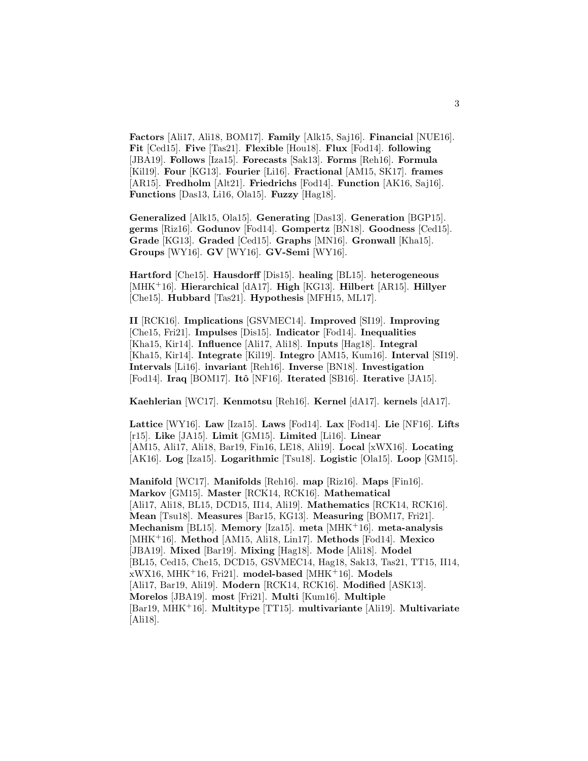**Factors** [Ali17, Ali18, BOM17]. **Family** [Alk15, Saj16]. **Financial** [NUE16]. **Fit** [Ced15]. **Five** [Tas21]. **Flexible** [Hou18]. **Flux** [Fod14]. **following** [JBA19]. **Follows** [Iza15]. **Forecasts** [Sak13]. **Forms** [Reh16]. **Formula** [Kil19]. **Four** [KG13]. **Fourier** [Li16]. **Fractional** [AM15, SK17]. **frames** [AR15]. **Fredholm** [Alt21]. **Friedrichs** [Fod14]. **Function** [AK16, Saj16]. **Functions** [Das13, Li16, Ola15]. **Fuzzy** [Hag18].

**Generalized** [Alk15, Ola15]. **Generating** [Das13]. **Generation** [BGP15]. **germs** [Riz16]. **Godunov** [Fod14]. **Gompertz** [BN18]. **Goodness** [Ced15]. **Grade** [KG13]. **Graded** [Ced15]. **Graphs** [MN16]. **Gronwall** [Kha15]. **Groups** [WY16]. **GV** [WY16]. **GV-Semi** [WY16].

**Hartford** [Che15]. **Hausdorff** [Dis15]. **healing** [BL15]. **heterogeneous** [MHK<sup>+</sup>16]. **Hierarchical** [dA17]. **High** [KG13]. **Hilbert** [AR15]. **Hillyer** [Che15]. **Hubbard** [Tas21]. **Hypothesis** [MFH15, ML17].

**II** [RCK16]. **Implications** [GSVMEC14]. **Improved** [SI19]. **Improving** [Che15, Fri21]. **Impulses** [Dis15]. **Indicator** [Fod14]. **Inequalities** [Kha15, Kir14]. **Influence** [Ali17, Ali18]. **Inputs** [Hag18]. **Integral** [Kha15, Kir14]. **Integrate** [Kil19]. **Integro** [AM15, Kum16]. **Interval** [SI19]. **Intervals** [Li16]. **invariant** [Reh16]. **Inverse** [BN18]. **Investigation** [Fod14]. **Iraq** [BOM17]. **Itˆo** [NF16]. **Iterated** [SB16]. **Iterative** [JA15].

**Kaehlerian** [WC17]. **Kenmotsu** [Reh16]. **Kernel** [dA17]. **kernels** [dA17].

**Lattice** [WY16]. **Law** [Iza15]. **Laws** [Fod14]. **Lax** [Fod14]. **Lie** [NF16]. **Lifts** [r15]. **Like** [JA15]. **Limit** [GM15]. **Limited** [Li16]. **Linear** [AM15, Ali17, Ali18, Bar19, Fin16, LE18, Ali19]. **Local** [xWX16]. **Locating** [AK16]. **Log** [Iza15]. **Logarithmic** [Tsu18]. **Logistic** [Ola15]. **Loop** [GM15].

**Manifold** [WC17]. **Manifolds** [Reh16]. **map** [Riz16]. **Maps** [Fin16]. **Markov** [GM15]. **Master** [RCK14, RCK16]. **Mathematical** [Ali17, Ali18, BL15, DCD15, II14, Ali19]. **Mathematics** [RCK14, RCK16]. **Mean** [Tsu18]. **Measures** [Bar15, KG13]. **Measuring** [BOM17, Fri21]. **Mechanism** [BL15]. **Memory** [Iza15]. **meta** [MHK<sup>+</sup>16]. **meta-analysis** [MHK<sup>+</sup>16]. **Method** [AM15, Ali18, Lin17]. **Methods** [Fod14]. **Mexico** [JBA19]. **Mixed** [Bar19]. **Mixing** [Hag18]. **Mode** [Ali18]. **Model** [BL15, Ced15, Che15, DCD15, GSVMEC14, Hag18, Sak13, Tas21, TT15, II14, xWX16, MHK<sup>+</sup>16, Fri21]. **model-based** [MHK<sup>+</sup>16]. **Models** [Ali17, Bar19, Ali19]. **Modern** [RCK14, RCK16]. **Modified** [ASK13]. **Morelos** [JBA19]. **most** [Fri21]. **Multi** [Kum16]. **Multiple** [Bar19, MHK<sup>+</sup>16]. **Multitype** [TT15]. **multivariante** [Ali19]. **Multivariate** [Ali18].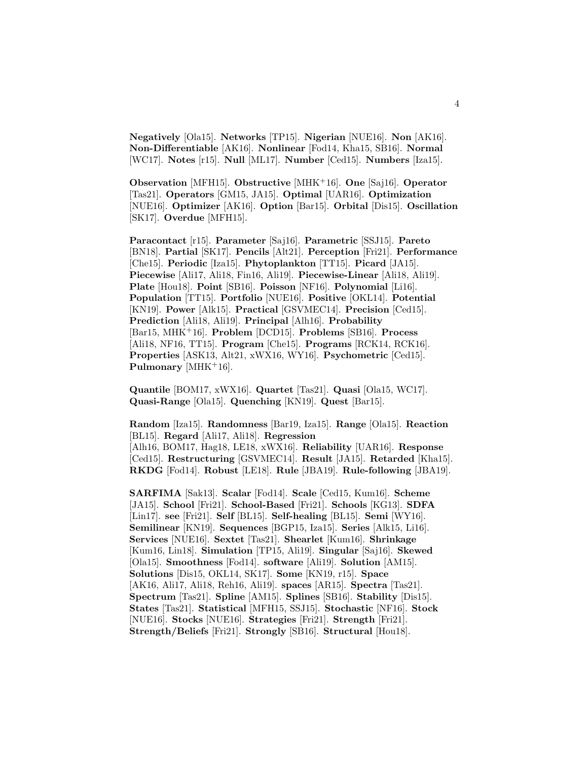**Negatively** [Ola15]. **Networks** [TP15]. **Nigerian** [NUE16]. **Non** [AK16]. **Non-Differentiable** [AK16]. **Nonlinear** [Fod14, Kha15, SB16]. **Normal** [WC17]. **Notes** [r15]. **Null** [ML17]. **Number** [Ced15]. **Numbers** [Iza15].

**Observation** [MFH15]. **Obstructive** [MHK<sup>+</sup>16]. **One** [Saj16]. **Operator** [Tas21]. **Operators** [GM15, JA15]. **Optimal** [UAR16]. **Optimization** [NUE16]. **Optimizer** [AK16]. **Option** [Bar15]. **Orbital** [Dis15]. **Oscillation** [SK17]. **Overdue** [MFH15].

**Paracontact** [r15]. **Parameter** [Saj16]. **Parametric** [SSJ15]. **Pareto** [BN18]. **Partial** [SK17]. **Pencils** [Alt21]. **Perception** [Fri21]. **Performance** [Che15]. **Periodic** [Iza15]. **Phytoplankton** [TT15]. **Picard** [JA15]. **Piecewise** [Ali17, Ali18, Fin16, Ali19]. **Piecewise-Linear** [Ali18, Ali19]. **Plate** [Hou18]. **Point** [SB16]. **Poisson** [NF16]. **Polynomial** [Li16]. **Population** [TT15]. **Portfolio** [NUE16]. **Positive** [OKL14]. **Potential** [KN19]. **Power** [Alk15]. **Practical** [GSVMEC14]. **Precision** [Ced15]. **Prediction** [Ali18, Ali19]. **Principal** [Alh16]. **Probability** [Bar15, MHK<sup>+</sup>16]. **Problem** [DCD15]. **Problems** [SB16]. **Process** [Ali18, NF16, TT15]. **Program** [Che15]. **Programs** [RCK14, RCK16]. **Properties** [ASK13, Alt21, xWX16, WY16]. **Psychometric** [Ced15]. **Pulmonary** [MHK<sup>+</sup>16].

**Quantile** [BOM17, xWX16]. **Quartet** [Tas21]. **Quasi** [Ola15, WC17]. **Quasi-Range** [Ola15]. **Quenching** [KN19]. **Quest** [Bar15].

**Random** [Iza15]. **Randomness** [Bar19, Iza15]. **Range** [Ola15]. **Reaction** [BL15]. **Regard** [Ali17, Ali18]. **Regression** [Alh16, BOM17, Hag18, LE18, xWX16]. **Reliability** [UAR16]. **Response** [Ced15]. **Restructuring** [GSVMEC14]. **Result** [JA15]. **Retarded** [Kha15]. **RKDG** [Fod14]. **Robust** [LE18]. **Rule** [JBA19]. **Rule-following** [JBA19].

**SARFIMA** [Sak13]. **Scalar** [Fod14]. **Scale** [Ced15, Kum16]. **Scheme** [JA15]. **School** [Fri21]. **School-Based** [Fri21]. **Schools** [KG13]. **SDFA** [Lin17]. **see** [Fri21]. **Self** [BL15]. **Self-healing** [BL15]. **Semi** [WY16]. **Semilinear** [KN19]. **Sequences** [BGP15, Iza15]. **Series** [Alk15, Li16]. **Services** [NUE16]. **Sextet** [Tas21]. **Shearlet** [Kum16]. **Shrinkage** [Kum16, Lin18]. **Simulation** [TP15, Ali19]. **Singular** [Saj16]. **Skewed** [Ola15]. **Smoothness** [Fod14]. **software** [Ali19]. **Solution** [AM15]. **Solutions** [Dis15, OKL14, SK17]. **Some** [KN19, r15]. **Space** [AK16, Ali17, Ali18, Reh16, Ali19]. **spaces** [AR15]. **Spectra** [Tas21]. **Spectrum** [Tas21]. **Spline** [AM15]. **Splines** [SB16]. **Stability** [Dis15]. **States** [Tas21]. **Statistical** [MFH15, SSJ15]. **Stochastic** [NF16]. **Stock** [NUE16]. **Stocks** [NUE16]. **Strategies** [Fri21]. **Strength** [Fri21]. **Strength/Beliefs** [Fri21]. **Strongly** [SB16]. **Structural** [Hou18].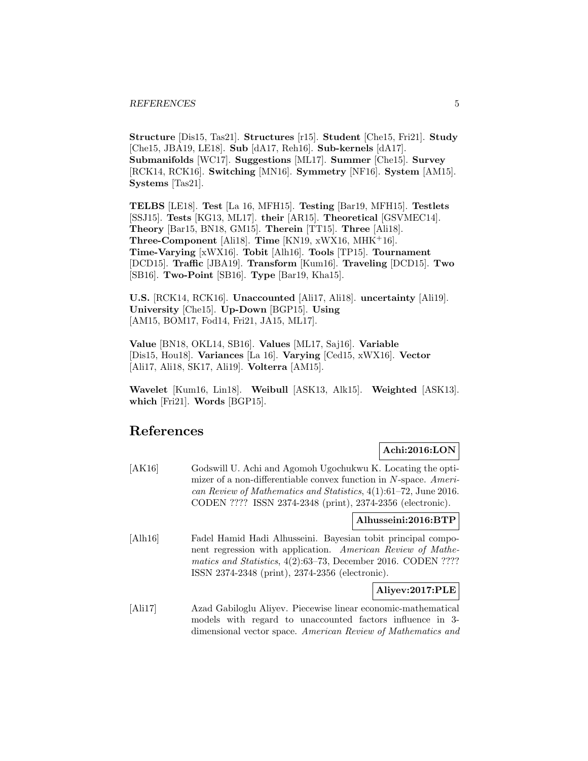**Structure** [Dis15, Tas21]. **Structures** [r15]. **Student** [Che15, Fri21]. **Study** [Che15, JBA19, LE18]. **Sub** [dA17, Reh16]. **Sub-kernels** [dA17]. **Submanifolds** [WC17]. **Suggestions** [ML17]. **Summer** [Che15]. **Survey** [RCK14, RCK16]. **Switching** [MN16]. **Symmetry** [NF16]. **System** [AM15]. **Systems** [Tas21].

**TELBS** [LE18]. **Test** [La 16, MFH15]. **Testing** [Bar19, MFH15]. **Testlets** [SSJ15]. **Tests** [KG13, ML17]. **their** [AR15]. **Theoretical** [GSVMEC14]. **Theory** [Bar15, BN18, GM15]. **Therein** [TT15]. **Three** [Ali18]. **Three-Component** [Ali18]. **Time** [KN19, xWX16, MHK<sup>+</sup>16]. **Time-Varying** [xWX16]. **Tobit** [Alh16]. **Tools** [TP15]. **Tournament** [DCD15]. **Traffic** [JBA19]. **Transform** [Kum16]. **Traveling** [DCD15]. **Two** [SB16]. **Two-Point** [SB16]. **Type** [Bar19, Kha15].

**U.S.** [RCK14, RCK16]. **Unaccounted** [Ali17, Ali18]. **uncertainty** [Ali19]. **University** [Che15]. **Up-Down** [BGP15]. **Using** [AM15, BOM17, Fod14, Fri21, JA15, ML17].

**Value** [BN18, OKL14, SB16]. **Values** [ML17, Saj16]. **Variable** [Dis15, Hou18]. **Variances** [La 16]. **Varying** [Ced15, xWX16]. **Vector** [Ali17, Ali18, SK17, Ali19]. **Volterra** [AM15].

**Wavelet** [Kum16, Lin18]. **Weibull** [ASK13, Alk15]. **Weighted** [ASK13]. **which** [Fri21]. **Words** [BGP15].

# **References**

# **Achi:2016:LON**

[AK16] Godswill U. Achi and Agomoh Ugochukwu K. Locating the optimizer of a non-differentiable convex function in N-space. American Review of Mathematics and Statistics, 4(1):61–72, June 2016. CODEN ???? ISSN 2374-2348 (print), 2374-2356 (electronic).

## **Alhusseini:2016:BTP**

[Alh16] Fadel Hamid Hadi Alhusseini. Bayesian tobit principal component regression with application. American Review of Mathematics and Statistics, 4(2):63–73, December 2016. CODEN ???? ISSN 2374-2348 (print), 2374-2356 (electronic).

# **Aliyev:2017:PLE**

[Ali17] Azad Gabiloglu Aliyev. Piecewise linear economic-mathematical models with regard to unaccounted factors influence in 3 dimensional vector space. American Review of Mathematics and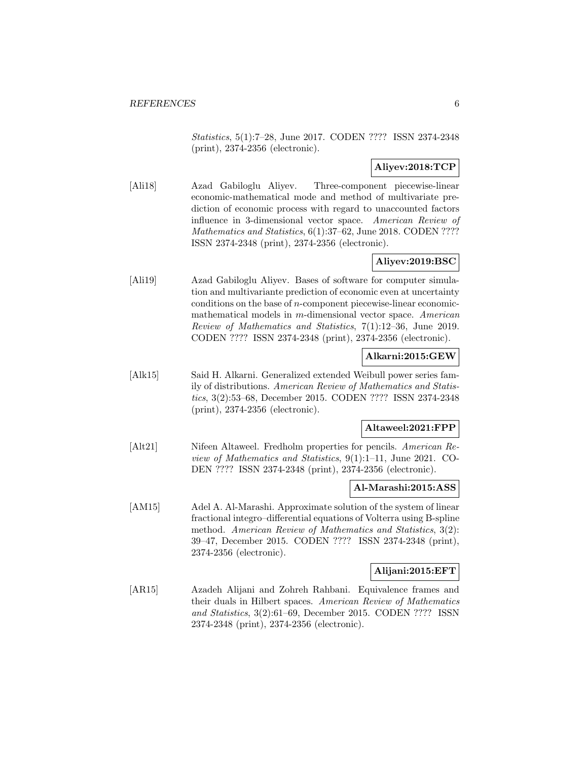Statistics, 5(1):7–28, June 2017. CODEN ???? ISSN 2374-2348 (print), 2374-2356 (electronic).

# **Aliyev:2018:TCP**

[Ali18] Azad Gabiloglu Aliyev. Three-component piecewise-linear economic-mathematical mode and method of multivariate prediction of economic process with regard to unaccounted factors influence in 3-dimensional vector space. American Review of Mathematics and Statistics, 6(1):37–62, June 2018. CODEN ???? ISSN 2374-2348 (print), 2374-2356 (electronic).

# **Aliyev:2019:BSC**

[Ali19] Azad Gabiloglu Aliyev. Bases of software for computer simulation and multivariante prediction of economic even at uncertainty conditions on the base of n-component piecewise-linear economicmathematical models in m-dimensional vector space. American Review of Mathematics and Statistics, 7(1):12–36, June 2019. CODEN ???? ISSN 2374-2348 (print), 2374-2356 (electronic).

# **Alkarni:2015:GEW**

[Alk15] Said H. Alkarni. Generalized extended Weibull power series family of distributions. American Review of Mathematics and Statistics, 3(2):53–68, December 2015. CODEN ???? ISSN 2374-2348 (print), 2374-2356 (electronic).

# **Altaweel:2021:FPP**

[Alt21] Nifeen Altaweel. Fredholm properties for pencils. American Review of Mathematics and Statistics, 9(1):1–11, June 2021. CO-DEN ???? ISSN 2374-2348 (print), 2374-2356 (electronic).

#### **Al-Marashi:2015:ASS**

[AM15] Adel A. Al-Marashi. Approximate solution of the system of linear fractional integro–differential equations of Volterra using B-spline method. American Review of Mathematics and Statistics, 3(2): 39–47, December 2015. CODEN ???? ISSN 2374-2348 (print), 2374-2356 (electronic).

# **Alijani:2015:EFT**

[AR15] Azadeh Alijani and Zohreh Rahbani. Equivalence frames and their duals in Hilbert spaces. American Review of Mathematics and Statistics, 3(2):61–69, December 2015. CODEN ???? ISSN 2374-2348 (print), 2374-2356 (electronic).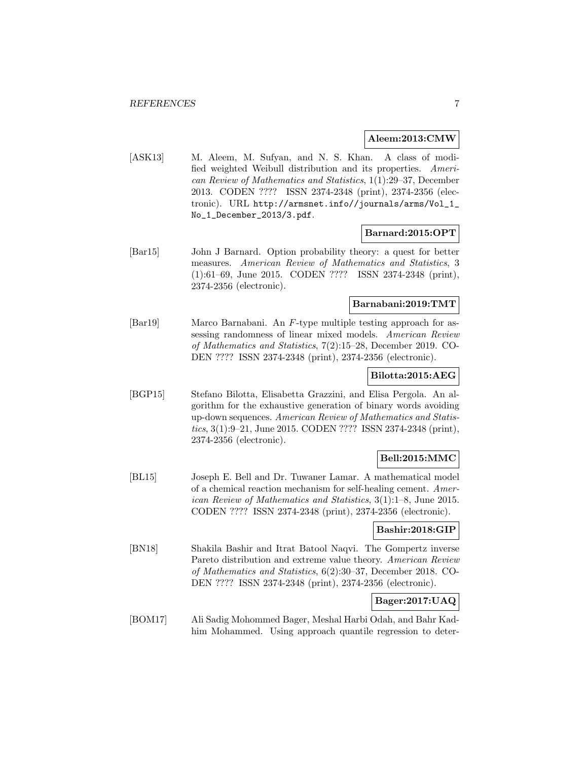#### **Aleem:2013:CMW**

[ASK13] M. Aleem, M. Sufyan, and N. S. Khan. A class of modified weighted Weibull distribution and its properties. American Review of Mathematics and Statistics, 1(1):29–37, December 2013. CODEN ???? ISSN 2374-2348 (print), 2374-2356 (electronic). URL http://armsnet.info//journals/arms/Vol\_1\_ No\_1\_December\_2013/3.pdf.

#### **Barnard:2015:OPT**

[Bar15] John J Barnard. Option probability theory: a quest for better measures. American Review of Mathematics and Statistics, 3 (1):61–69, June 2015. CODEN ???? ISSN 2374-2348 (print), 2374-2356 (electronic).

#### **Barnabani:2019:TMT**

[Bar19] Marco Barnabani. An F-type multiple testing approach for assessing randomness of linear mixed models. American Review of Mathematics and Statistics, 7(2):15–28, December 2019. CO-DEN ???? ISSN 2374-2348 (print), 2374-2356 (electronic).

#### **Bilotta:2015:AEG**

[BGP15] Stefano Bilotta, Elisabetta Grazzini, and Elisa Pergola. An algorithm for the exhaustive generation of binary words avoiding up-down sequences. American Review of Mathematics and Statistics, 3(1):9–21, June 2015. CODEN ???? ISSN 2374-2348 (print), 2374-2356 (electronic).

# **Bell:2015:MMC**

[BL15] Joseph E. Bell and Dr. Tuwaner Lamar. A mathematical model of a chemical reaction mechanism for self-healing cement. American Review of Mathematics and Statistics, 3(1):1–8, June 2015. CODEN ???? ISSN 2374-2348 (print), 2374-2356 (electronic).

#### **Bashir:2018:GIP**

[BN18] Shakila Bashir and Itrat Batool Naqvi. The Gompertz inverse Pareto distribution and extreme value theory. American Review of Mathematics and Statistics, 6(2):30–37, December 2018. CO-DEN ???? ISSN 2374-2348 (print), 2374-2356 (electronic).

# **Bager:2017:UAQ**

[BOM17] Ali Sadig Mohommed Bager, Meshal Harbi Odah, and Bahr Kadhim Mohammed. Using approach quantile regression to deter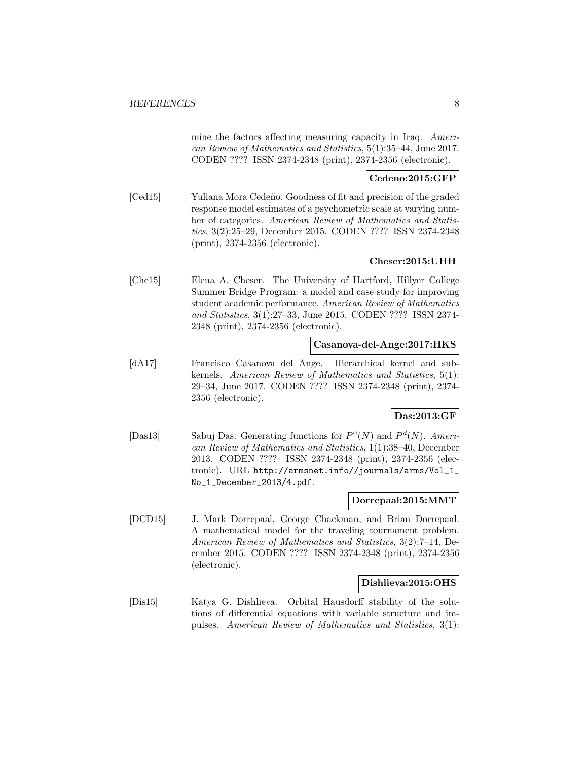mine the factors affecting measuring capacity in Iraq. American Review of Mathematics and Statistics, 5(1):35–44, June 2017. CODEN ???? ISSN 2374-2348 (print), 2374-2356 (electronic).

## **Cedeno:2015:GFP**

[Ced15] Yuliana Mora Cedeño. Goodness of fit and precision of the graded response model estimates of a psychometric scale at varying number of categories. American Review of Mathematics and Statistics, 3(2):25–29, December 2015. CODEN ???? ISSN 2374-2348 (print), 2374-2356 (electronic).

#### **Cheser:2015:UHH**

[Che15] Elena A. Cheser. The University of Hartford, Hillyer College Summer Bridge Program: a model and case study for improving student academic performance. American Review of Mathematics and Statistics, 3(1):27–33, June 2015. CODEN ???? ISSN 2374- 2348 (print), 2374-2356 (electronic).

#### **Casanova-del-Ange:2017:HKS**

[dA17] Francisco Casanova del Ange. Hierarchical kernel and subkernels. American Review of Mathematics and Statistics, 5(1): 29–34, June 2017. CODEN ???? ISSN 2374-2348 (print), 2374- 2356 (electronic).

# **Das:2013:GF**

[Das13] Sabuj Das. Generating functions for  $P^0(N)$  and  $P^d(N)$ . American Review of Mathematics and Statistics, 1(1):38–40, December 2013. CODEN ???? ISSN 2374-2348 (print), 2374-2356 (electronic). URL http://armsnet.info//journals/arms/Vol\_1\_ No\_1\_December\_2013/4.pdf.

#### **Dorrepaal:2015:MMT**

[DCD15] J. Mark Dorrepaal, George Chackman, and Brian Dorrepaal. A mathematical model for the traveling tournament problem. American Review of Mathematics and Statistics, 3(2):7–14, December 2015. CODEN ???? ISSN 2374-2348 (print), 2374-2356 (electronic).

#### **Dishlieva:2015:OHS**

[Dis15] Katya G. Dishlieva. Orbital Hausdorff stability of the solutions of differential equations with variable structure and impulses. American Review of Mathematics and Statistics, 3(1):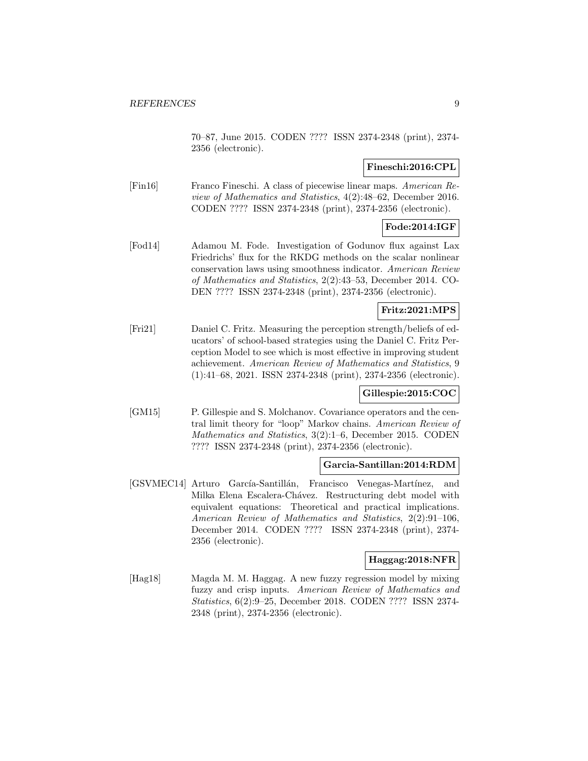70–87, June 2015. CODEN ???? ISSN 2374-2348 (print), 2374- 2356 (electronic).

# **Fineschi:2016:CPL**

[Fin16] Franco Fineschi. A class of piecewise linear maps. American Review of Mathematics and Statistics, 4(2):48–62, December 2016. CODEN ???? ISSN 2374-2348 (print), 2374-2356 (electronic).

# **Fode:2014:IGF**

[Fod14] Adamou M. Fode. Investigation of Godunov flux against Lax Friedrichs' flux for the RKDG methods on the scalar nonlinear conservation laws using smoothness indicator. American Review of Mathematics and Statistics, 2(2):43–53, December 2014. CO-DEN ???? ISSN 2374-2348 (print), 2374-2356 (electronic).

# **Fritz:2021:MPS**

[Fri21] Daniel C. Fritz. Measuring the perception strength/beliefs of educators' of school-based strategies using the Daniel C. Fritz Perception Model to see which is most effective in improving student achievement. American Review of Mathematics and Statistics, 9 (1):41–68, 2021. ISSN 2374-2348 (print), 2374-2356 (electronic).

#### **Gillespie:2015:COC**

[GM15] P. Gillespie and S. Molchanov. Covariance operators and the central limit theory for "loop" Markov chains. American Review of Mathematics and Statistics, 3(2):1–6, December 2015. CODEN ???? ISSN 2374-2348 (print), 2374-2356 (electronic).

#### **Garcia-Santillan:2014:RDM**

[GSVMEC14] Arturo Garc´ıa-Santill´an, Francisco Venegas-Mart´ınez, and Milka Elena Escalera-Chávez. Restructuring debt model with equivalent equations: Theoretical and practical implications. American Review of Mathematics and Statistics, 2(2):91–106, December 2014. CODEN ???? ISSN 2374-2348 (print), 2374- 2356 (electronic).

#### **Haggag:2018:NFR**

[Hag18] Magda M. M. Haggag. A new fuzzy regression model by mixing fuzzy and crisp inputs. American Review of Mathematics and Statistics, 6(2):9–25, December 2018. CODEN ???? ISSN 2374- 2348 (print), 2374-2356 (electronic).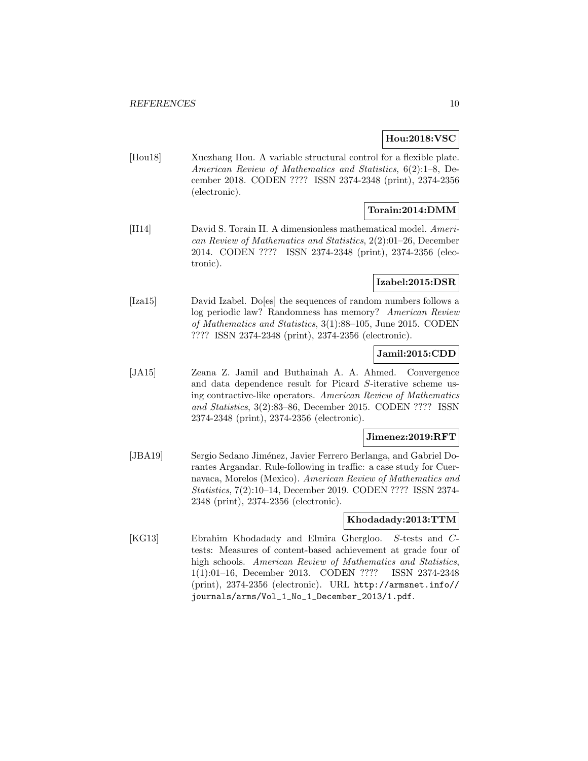## **Hou:2018:VSC**

[Hou18] Xuezhang Hou. A variable structural control for a flexible plate. American Review of Mathematics and Statistics, 6(2):1–8, December 2018. CODEN ???? ISSN 2374-2348 (print), 2374-2356 (electronic).

# **Torain:2014:DMM**

[II14] David S. Torain II. A dimensionless mathematical model. American Review of Mathematics and Statistics, 2(2):01–26, December 2014. CODEN ???? ISSN 2374-2348 (print), 2374-2356 (electronic).

## **Izabel:2015:DSR**

[Iza15] David Izabel. Do[es] the sequences of random numbers follows a log periodic law? Randomness has memory? American Review of Mathematics and Statistics, 3(1):88–105, June 2015. CODEN ???? ISSN 2374-2348 (print), 2374-2356 (electronic).

# **Jamil:2015:CDD**

[JA15] Zeana Z. Jamil and Buthainah A. A. Ahmed. Convergence and data dependence result for Picard S-iterative scheme using contractive-like operators. American Review of Mathematics and Statistics, 3(2):83–86, December 2015. CODEN ???? ISSN 2374-2348 (print), 2374-2356 (electronic).

## **Jimenez:2019:RFT**

[JBA19] Sergio Sedano Jiménez, Javier Ferrero Berlanga, and Gabriel Dorantes Argandar. Rule-following in traffic: a case study for Cuernavaca, Morelos (Mexico). American Review of Mathematics and Statistics, 7(2):10–14, December 2019. CODEN ???? ISSN 2374- 2348 (print), 2374-2356 (electronic).

#### **Khodadady:2013:TTM**

[KG13] Ebrahim Khodadady and Elmira Ghergloo. S-tests and Ctests: Measures of content-based achievement at grade four of high schools. American Review of Mathematics and Statistics, 1(1):01–16, December 2013. CODEN ???? ISSN 2374-2348 (print), 2374-2356 (electronic). URL http://armsnet.info// journals/arms/Vol\_1\_No\_1\_December\_2013/1.pdf.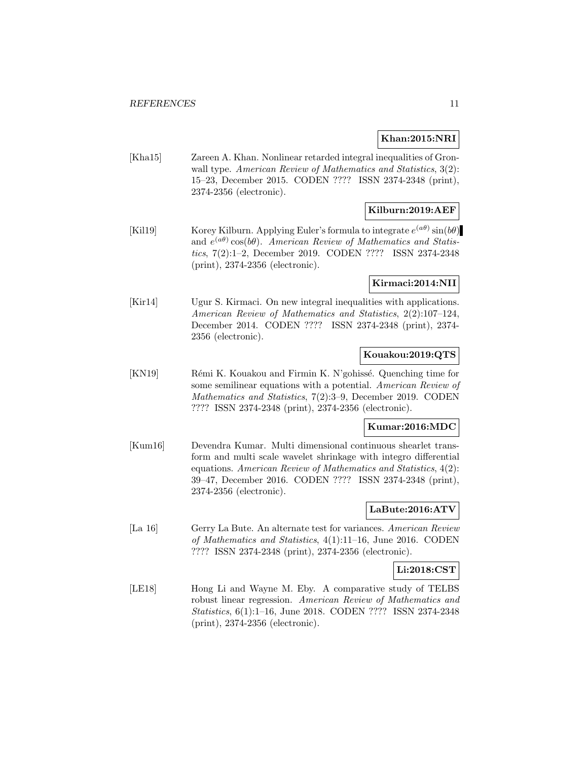#### **Khan:2015:NRI**

[Kha15] Zareen A. Khan. Nonlinear retarded integral inequalities of Gronwall type. American Review of Mathematics and Statistics,  $3(2)$ : 15–23, December 2015. CODEN ???? ISSN 2374-2348 (print), 2374-2356 (electronic).

# **Kilburn:2019:AEF**

[Kil19] Korey Kilburn. Applying Euler's formula to integrate  $e^{(a\theta)}\sin(b\theta)$ and  $e^{(a\theta)}\cos(b\theta)$ . American Review of Mathematics and Statistics, 7(2):1–2, December 2019. CODEN ???? ISSN 2374-2348 (print), 2374-2356 (electronic).

#### **Kirmaci:2014:NII**

[Kir14] Ugur S. Kirmaci. On new integral inequalities with applications. American Review of Mathematics and Statistics, 2(2):107–124, December 2014. CODEN ???? ISSN 2374-2348 (print), 2374- 2356 (electronic).

# **Kouakou:2019:QTS**

[KN19] Rémi K. Kouakou and Firmin K. N'gohissé. Quenching time for some semilinear equations with a potential. American Review of Mathematics and Statistics, 7(2):3–9, December 2019. CODEN ???? ISSN 2374-2348 (print), 2374-2356 (electronic).

# **Kumar:2016:MDC**

[Kum16] Devendra Kumar. Multi dimensional continuous shearlet transform and multi scale wavelet shrinkage with integro differential equations. American Review of Mathematics and Statistics, 4(2): 39–47, December 2016. CODEN ???? ISSN 2374-2348 (print), 2374-2356 (electronic).

# **LaBute:2016:ATV**

[La 16] Gerry La Bute. An alternate test for variances. American Review of Mathematics and Statistics, 4(1):11–16, June 2016. CODEN ???? ISSN 2374-2348 (print), 2374-2356 (electronic).

# **Li:2018:CST**

[LE18] Hong Li and Wayne M. Eby. A comparative study of TELBS robust linear regression. American Review of Mathematics and Statistics, 6(1):1–16, June 2018. CODEN ???? ISSN 2374-2348 (print), 2374-2356 (electronic).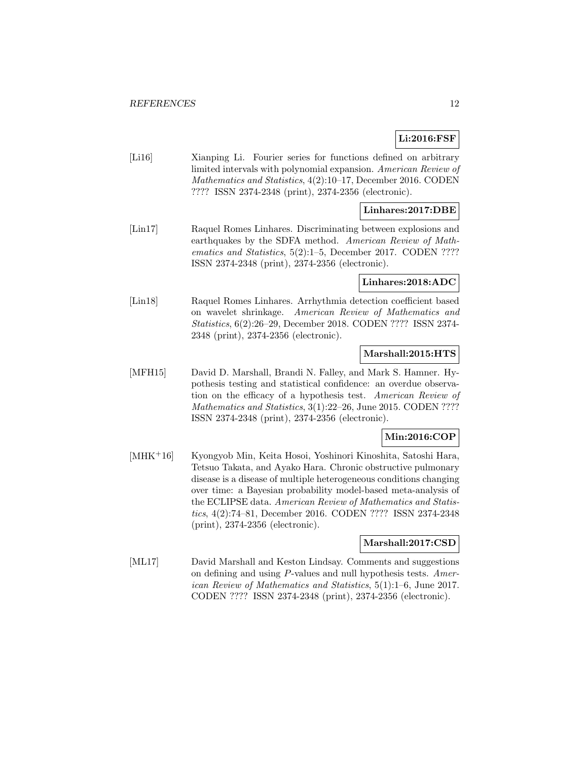# **Li:2016:FSF**

[Li16] Xianping Li. Fourier series for functions defined on arbitrary limited intervals with polynomial expansion. American Review of Mathematics and Statistics, 4(2):10–17, December 2016. CODEN ???? ISSN 2374-2348 (print), 2374-2356 (electronic).

# **Linhares:2017:DBE**

[Lin17] Raquel Romes Linhares. Discriminating between explosions and earthquakes by the SDFA method. American Review of Mathematics and Statistics, 5(2):1–5, December 2017. CODEN ???? ISSN 2374-2348 (print), 2374-2356 (electronic).

# **Linhares:2018:ADC**

[Lin18] Raquel Romes Linhares. Arrhythmia detection coefficient based on wavelet shrinkage. American Review of Mathematics and Statistics, 6(2):26–29, December 2018. CODEN ???? ISSN 2374- 2348 (print), 2374-2356 (electronic).

## **Marshall:2015:HTS**

[MFH15] David D. Marshall, Brandi N. Falley, and Mark S. Hamner. Hypothesis testing and statistical confidence: an overdue observation on the efficacy of a hypothesis test. American Review of Mathematics and Statistics, 3(1):22-26, June 2015. CODEN ???? ISSN 2374-2348 (print), 2374-2356 (electronic).

#### **Min:2016:COP**

[MHK<sup>+</sup>16] Kyongyob Min, Keita Hosoi, Yoshinori Kinoshita, Satoshi Hara, Tetsuo Takata, and Ayako Hara. Chronic obstructive pulmonary disease is a disease of multiple heterogeneous conditions changing over time: a Bayesian probability model-based meta-analysis of the ECLIPSE data. American Review of Mathematics and Statistics, 4(2):74–81, December 2016. CODEN ???? ISSN 2374-2348 (print), 2374-2356 (electronic).

# **Marshall:2017:CSD**

[ML17] David Marshall and Keston Lindsay. Comments and suggestions on defining and using P-values and null hypothesis tests. American Review of Mathematics and Statistics, 5(1):1–6, June 2017. CODEN ???? ISSN 2374-2348 (print), 2374-2356 (electronic).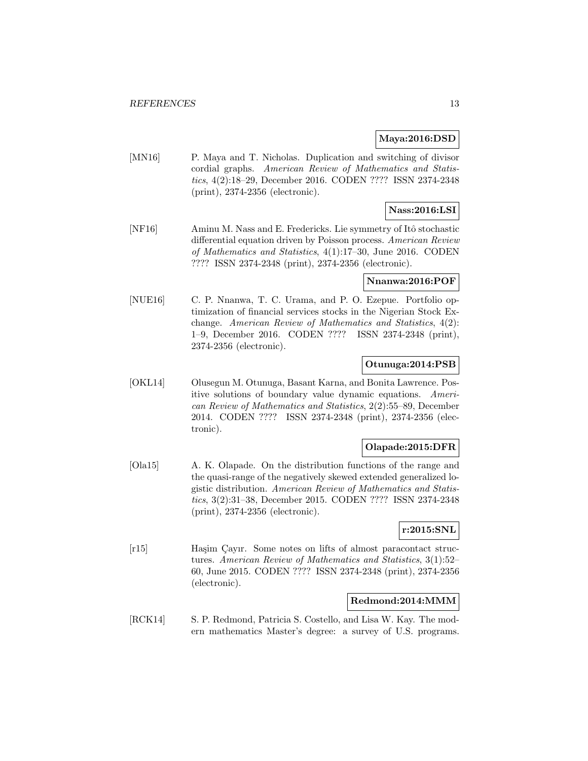## **Maya:2016:DSD**

[MN16] P. Maya and T. Nicholas. Duplication and switching of divisor cordial graphs. American Review of Mathematics and Statistics, 4(2):18–29, December 2016. CODEN ???? ISSN 2374-2348 (print), 2374-2356 (electronic).

# **Nass:2016:LSI**

[NF16] Aminu M. Nass and E. Fredericks. Lie symmetry of Itô stochastic differential equation driven by Poisson process. American Review of Mathematics and Statistics, 4(1):17–30, June 2016. CODEN ???? ISSN 2374-2348 (print), 2374-2356 (electronic).

#### **Nnanwa:2016:POF**

[NUE16] C. P. Nnanwa, T. C. Urama, and P. O. Ezepue. Portfolio optimization of financial services stocks in the Nigerian Stock Exchange. American Review of Mathematics and Statistics, 4(2): 1–9, December 2016. CODEN ???? ISSN 2374-2348 (print), 2374-2356 (electronic).

#### **Otunuga:2014:PSB**

[OKL14] Olusegun M. Otunuga, Basant Karna, and Bonita Lawrence. Positive solutions of boundary value dynamic equations. American Review of Mathematics and Statistics, 2(2):55–89, December 2014. CODEN ???? ISSN 2374-2348 (print), 2374-2356 (electronic).

#### **Olapade:2015:DFR**

[Ola15] A. K. Olapade. On the distribution functions of the range and the quasi-range of the negatively skewed extended generalized logistic distribution. American Review of Mathematics and Statistics, 3(2):31–38, December 2015. CODEN ???? ISSN 2374-2348 (print), 2374-2356 (electronic).

#### **r:2015:SNL**

[r15] Haşim Çayır. Some notes on lifts of almost paracontact structures. American Review of Mathematics and Statistics, 3(1):52– 60, June 2015. CODEN ???? ISSN 2374-2348 (print), 2374-2356 (electronic).

#### **Redmond:2014:MMM**

[RCK14] S. P. Redmond, Patricia S. Costello, and Lisa W. Kay. The modern mathematics Master's degree: a survey of U.S. programs.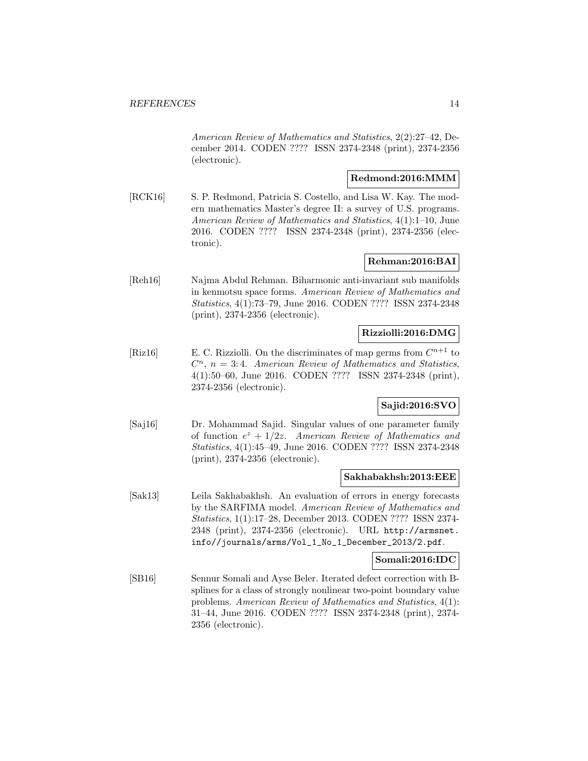American Review of Mathematics and Statistics, 2(2):27–42, December 2014. CODEN ???? ISSN 2374-2348 (print), 2374-2356 (electronic).

## **Redmond:2016:MMM**

[RCK16] S. P. Redmond, Patricia S. Costello, and Lisa W. Kay. The modern mathematics Master's degree II: a survey of U.S. programs. American Review of Mathematics and Statistics, 4(1):1–10, June 2016. CODEN ???? ISSN 2374-2348 (print), 2374-2356 (electronic).

# **Rehman:2016:BAI**

[Reh16] Najma Abdul Rehman. Biharmonic anti-invariant sub manifolds in kenmotsu space forms. American Review of Mathematics and Statistics, 4(1):73–79, June 2016. CODEN ???? ISSN 2374-2348 (print), 2374-2356 (electronic).

# **Rizziolli:2016:DMG**

[Riz16] E. C. Rizziolli. On the discriminates of map germs from  $C^{n+1}$  to  $C<sup>n</sup>$ ,  $n = 3:4$ . American Review of Mathematics and Statistics, 4(1):50–60, June 2016. CODEN ???? ISSN 2374-2348 (print), 2374-2356 (electronic).

# **Sajid:2016:SVO**

[Saj16] Dr. Mohammad Sajid. Singular values of one parameter family of function  $e^z + 1/2z$ . American Review of Mathematics and Statistics, 4(1):45–49, June 2016. CODEN ???? ISSN 2374-2348 (print), 2374-2356 (electronic).

#### **Sakhabakhsh:2013:EEE**

[Sak13] Leila Sakhabakhsh. An evaluation of errors in energy forecasts by the SARFIMA model. American Review of Mathematics and Statistics, 1(1):17–28, December 2013. CODEN ???? ISSN 2374- 2348 (print), 2374-2356 (electronic). URL http://armsnet. info//journals/arms/Vol\_1\_No\_1\_December\_2013/2.pdf.

#### **Somali:2016:IDC**

[SB16] Sennur Somali and Ayse Beler. Iterated defect correction with Bsplines for a class of strongly nonlinear two-point boundary value problems. American Review of Mathematics and Statistics, 4(1): 31–44, June 2016. CODEN ???? ISSN 2374-2348 (print), 2374- 2356 (electronic).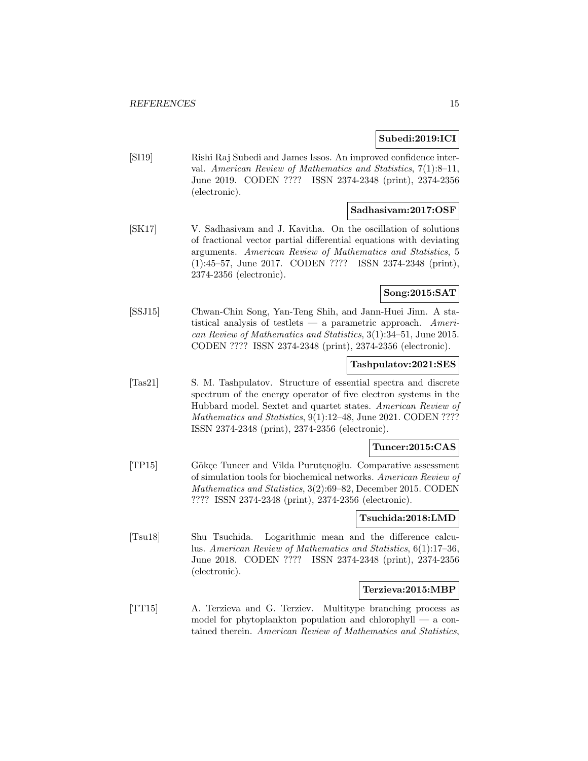# **Subedi:2019:ICI**

[SI19] Rishi Raj Subedi and James Issos. An improved confidence interval. American Review of Mathematics and Statistics, 7(1):8–11, June 2019. CODEN ???? ISSN 2374-2348 (print), 2374-2356 (electronic).

# **Sadhasivam:2017:OSF**

[SK17] V. Sadhasivam and J. Kavitha. On the oscillation of solutions of fractional vector partial differential equations with deviating arguments. American Review of Mathematics and Statistics, 5 (1):45–57, June 2017. CODEN ???? ISSN 2374-2348 (print), 2374-2356 (electronic).

# **Song:2015:SAT**

[SSJ15] Chwan-Chin Song, Yan-Teng Shih, and Jann-Huei Jinn. A statistical analysis of testlets — a parametric approach. American Review of Mathematics and Statistics, 3(1):34–51, June 2015. CODEN ???? ISSN 2374-2348 (print), 2374-2356 (electronic).

#### **Tashpulatov:2021:SES**

[Tas21] S. M. Tashpulatov. Structure of essential spectra and discrete spectrum of the energy operator of five electron systems in the Hubbard model. Sextet and quartet states. American Review of Mathematics and Statistics, 9(1):12-48, June 2021. CODEN ???? ISSN 2374-2348 (print), 2374-2356 (electronic).

#### **Tuncer:2015:CAS**

[TP15] Gökçe Tuncer and Vilda Purutçuoğlu. Comparative assessment of simulation tools for biochemical networks. American Review of Mathematics and Statistics, 3(2):69–82, December 2015. CODEN ???? ISSN 2374-2348 (print), 2374-2356 (electronic).

#### **Tsuchida:2018:LMD**

[Tsu18] Shu Tsuchida. Logarithmic mean and the difference calculus. American Review of Mathematics and Statistics, 6(1):17–36, June 2018. CODEN ???? ISSN 2374-2348 (print), 2374-2356 (electronic).

#### **Terzieva:2015:MBP**

[TT15] A. Terzieva and G. Terziev. Multitype branching process as model for phytoplankton population and chlorophyll — a contained therein. American Review of Mathematics and Statistics,